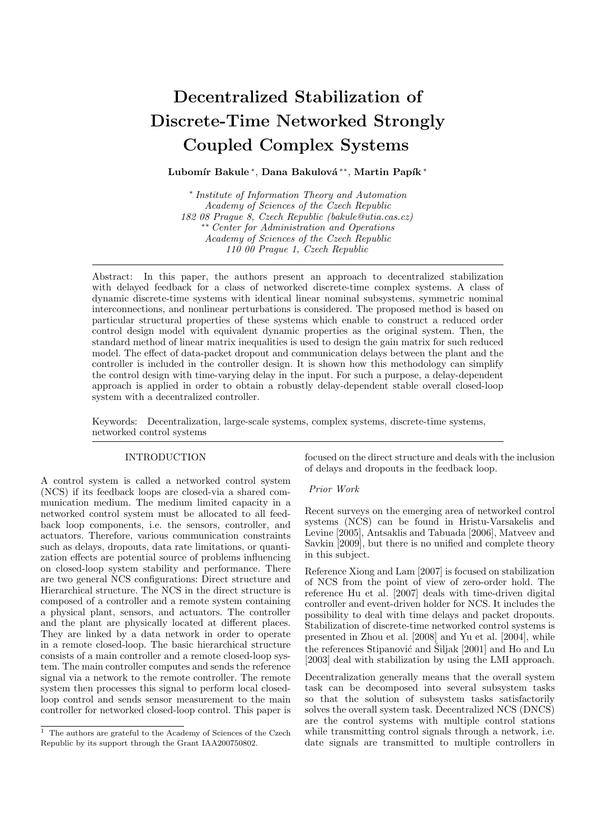# Decentralized Stabilization of Discrete-Time Networked Strongly Coupled Complex Systems

Lubomír Bakule\*, Dana Bakulová\*\*, Martin Papík\*

∗ Institute of Information Theory and Automation Academy of Sciences of the Czech Republic 182 08 Prague 8, Czech Republic (bakule@utia.cas.cz) ∗∗ Center for Administration and Operations Academy of Sciences of the Czech Republic 110 00 Prague 1, Czech Republic

Abstract: In this paper, the authors present an approach to decentralized stabilization with delayed feedback for a class of networked discrete-time complex systems. A class of dynamic discrete-time systems with identical linear nominal subsystems, symmetric nominal interconnections, and nonlinear perturbations is considered. The proposed method is based on particular structural properties of these systems which enable to construct a reduced order control design model with equivalent dynamic properties as the original system. Then, the standard method of linear matrix inequalities is used to design the gain matrix for such reduced model. The effect of data-packet dropout and communication delays between the plant and the controller is included in the controller design. It is shown how this methodology can simplify the control design with time-varying delay in the input. For such a purpose, a delay-dependent approach is applied in order to obtain a robustly delay-dependent stable overall closed-loop system with a decentralized controller.

Keywords: Decentralization, large-scale systems, complex systems, discrete-time systems, networked control systems

### INTRODUCTION

A control system is called a networked control system (NCS) if its feedback loops are closed-via a shared communication medium. The medium limited capacity in a networked control system must be allocated to all feedback loop components, i.e. the sensors, controller, and actuators. Therefore, various communication constraints such as delays, dropouts, data rate limitations, or quantization effects are potential source of problems influencing on closed-loop system stability and performance. There are two general NCS configurations: Direct structure and Hierarchical structure. The NCS in the direct structure is composed of a controller and a remote system containing a physical plant, sensors, and actuators. The controller and the plant are physically located at different places. They are linked by a data network in order to operate in a remote closed-loop. The basic hierarchical structure consists of a main controller and a remote closed-loop system. The main controller computes and sends the reference signal via a network to the remote controller. The remote system then processes this signal to perform local closedloop control and sends sensor measurement to the main controller for networked closed-loop control. This paper is focused on the direct structure and deals with the inclusion of delays and dropouts in the feedback loop.

#### Prior Work

Recent surveys on the emerging area of networked control systems (NCS) can be found in Hristu-Varsakelis and Levine [2005], Antsaklis and Tabuada [2006], Matveev and Savkin [2009], but there is no unified and complete theory in this subject.

Reference Xiong and Lam [2007] is focused on stabilization of NCS from the point of view of zero-order hold. The reference Hu et al. [2007] deals with time-driven digital controller and event-driven holder for NCS. It includes the possibility to deal with time delays and packet dropouts. Stabilization of discrete-time networked control systems is presented in Zhou et al. [2008] and Yu et al. [2004], while the references Stipanović and Šiljak [2001] and Ho and Lu [2003] deal with stabilization by using the LMI approach.

Decentralization generally means that the overall system task can be decomposed into several subsystem tasks so that the solution of subsystem tasks satisfactorily solves the overall system task. Decentralized NCS (DNCS) are the control systems with multiple control stations while transmitting control signals through a network, i.e. date signals are transmitted to multiple controllers in

 $1$  The authors are grateful to the Academy of Sciences of the Czech Republic by its support through the Grant IAA200750802.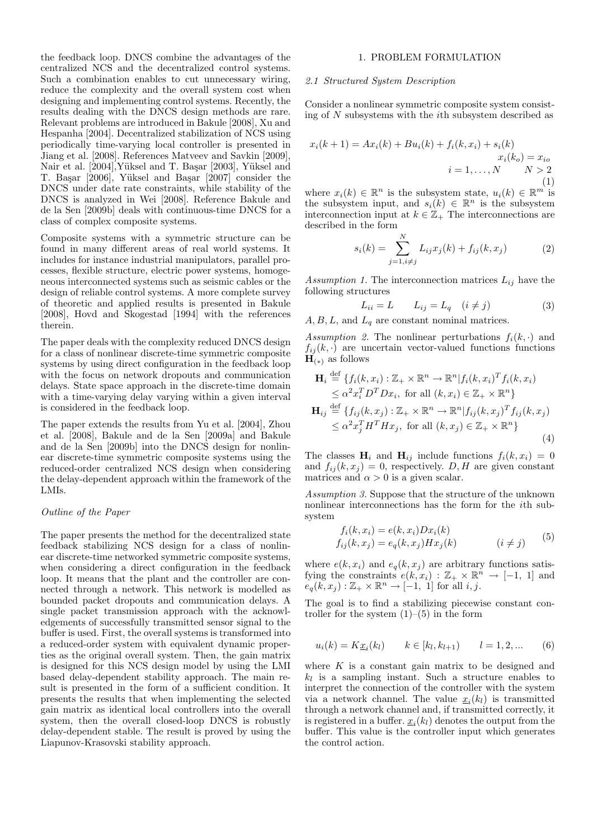the feedback loop. DNCS combine the advantages of the centralized NCS and the decentralized control systems. Such a combination enables to cut unnecessary wiring, reduce the complexity and the overall system cost when designing and implementing control systems. Recently, the results dealing with the DNCS design methods are rare. Relevant problems are introduced in Bakule [2008], Xu and Hespanha [2004]. Decentralized stabilization of NCS using periodically time-varying local controller is presented in Jiang et al. [2008]. References Matveev and Savkin [2009], Nair et al. [2004], Yüksel and T. Başar [2003], Yüksel and T. Başar [2006], Yüksel and Başar [2007] consider the DNCS under date rate constraints, while stability of the DNCS is analyzed in Wei [2008]. Reference Bakule and de la Sen [2009b] deals with continuous-time DNCS for a class of complex composite systems.

Composite systems with a symmetric structure can be found in many different areas of real world systems. It includes for instance industrial manipulators, parallel processes, flexible structure, electric power systems, homogeneous interconnected systems such as seismic cables or the design of reliable control systems. A more complete survey of theoretic and applied results is presented in Bakule [2008], Hovd and Skogestad [1994] with the references therein.

The paper deals with the complexity reduced DNCS design for a class of nonlinear discrete-time symmetric composite systems by using direct configuration in the feedback loop with the focus on network dropouts and communication delays. State space approach in the discrete-time domain with a time-varying delay varying within a given interval is considered in the feedback loop.

The paper extends the results from Yu et al. [2004], Zhou et al. [2008], Bakule and de la Sen [2009a] and Bakule and de la Sen [2009b] into the DNCS design for nonlinear discrete-time symmetric composite systems using the reduced-order centralized NCS design when considering the delay-dependent approach within the framework of the LMIs.

### Outline of the Paper

The paper presents the method for the decentralized state feedback stabilizing NCS design for a class of nonlinear discrete-time networked symmetric composite systems, when considering a direct configuration in the feedback loop. It means that the plant and the controller are connected through a network. This network is modelled as bounded packet dropouts and communication delays. A single packet transmission approach with the acknowledgements of successfully transmitted sensor signal to the buffer is used. First, the overall systems is transformed into a reduced-order system with equivalent dynamic properties as the original overall system. Then, the gain matrix is designed for this NCS design model by using the LMI based delay-dependent stability approach. The main result is presented in the form of a sufficient condition. It presents the results that when implementing the selected gain matrix as identical local controllers into the overall system, then the overall closed-loop DNCS is robustly delay-dependent stable. The result is proved by using the Liapunov-Krasovski stability approach.

#### 1. PROBLEM FORMULATION

#### 2.1 Structured System Description

Consider a nonlinear symmetric composite system consisting of N subsystems with the ith subsystem described as

$$
x_i(k+1) = Ax_i(k) + Bu_i(k) + f_i(k, x_i) + s_i(k)
$$
  

$$
x_i(k_o) = x_{io}
$$
  

$$
i = 1, ..., N \qquad N > 2
$$
  
(1)

where  $x_i(k) \in \mathbb{R}^n$  is the subsystem state,  $u_i(k) \in \mathbb{R}^m$  is the subsystem input, and  $s_i(k) \in \mathbb{R}^n$  is the subsystem interconnection input at  $k \in \mathbb{Z}_+$  The interconnections are described in the form

$$
s_i(k) = \sum_{j=1, i \neq j}^{N} L_{ij} x_j(k) + f_{ij}(k, x_j)
$$
 (2)

Assumption 1. The interconnection matrices  $L_{ij}$  have the following structures

$$
L_{ii} = L \qquad L_{ij} = L_q \quad (i \neq j) \tag{3}
$$

 $A, B, L$ , and  $L_q$  are constant nominal matrices.

Assumption 2. The nonlinear perturbations  $f_i(k, \cdot)$  and  $f_{ij}(k, \cdot)$  are uncertain vector-valued functions functions  $\mathbf{H}_{(*)}$  as follows

$$
\mathbf{H}_{i} \stackrel{\text{def}}{=} \{f_{i}(k, x_{i}) : \mathbb{Z}_{+} \times \mathbb{R}^{n} \to \mathbb{R}^{n} | f_{i}(k, x_{i})^{T} f_{i}(k, x_{i})
$$
  
\n
$$
\leq \alpha^{2} x_{i}^{T} D^{T} D x_{i}, \text{ for all } (k, x_{i}) \in \mathbb{Z}_{+} \times \mathbb{R}^{n} \}
$$
  
\n
$$
\mathbf{H}_{ij} \stackrel{\text{def}}{=} \{f_{ij}(k, x_{j}) : \mathbb{Z}_{+} \times \mathbb{R}^{n} \to \mathbb{R}^{n} | f_{ij}(k, x_{j})^{T} f_{ij}(k, x_{j})
$$
  
\n
$$
\leq \alpha^{2} x_{j}^{T} H^{T} H x_{j}, \text{ for all } (k, x_{j}) \in \mathbb{Z}_{+} \times \mathbb{R}^{n} \}
$$
  
\n(4)

The classes  $\mathbf{H}_i$  and  $\mathbf{H}_{ij}$  include functions  $f_i(k, x_i) = 0$ and  $f_{ij}(k, x_j) = 0$ , respectively. D, H are given constant matrices and  $\alpha > 0$  is a given scalar.

Assumption 3. Suppose that the structure of the unknown nonlinear interconnections has the form for the ith subsystem

$$
f_i(k, x_i) = e(k, x_i)Dx_i(k)
$$
  
\n
$$
f_{ij}(k, x_j) = e_q(k, x_j)Hx_j(k)
$$
  $(i \neq j)$  (5)

where  $e(k, x_i)$  and  $e_q(k, x_j)$  are arbitrary functions satisfying the constraints  $e(k, x_i) : \mathbb{Z}_+ \times \mathbb{R}^n \to [-1, 1]$  and  $e_q(k, x_j): \mathbb{Z}_+ \times \mathbb{R}^n \to [-1, 1]$  for all i, j.

The goal is to find a stabilizing piecewise constant controller for the system  $(1)$ – $(5)$  in the form

$$
u_i(k) = K \underline{x}_i(k_l) \qquad k \in [k_l, k_{l+1}) \qquad l = 1, 2, \dots \qquad (6)
$$

where  $K$  is a constant gain matrix to be designed and  $k_l$  is a sampling instant. Such a structure enables to interpret the connection of the controller with the system via a network channel. The value  $\underline{x}_i(k_l)$  is transmitted through a network channel and, if transmitted correctly, it is registered in a buffer.  $\underline{x}_i(k_l)$  denotes the output from the buffer. This value is the controller input which generates the control action.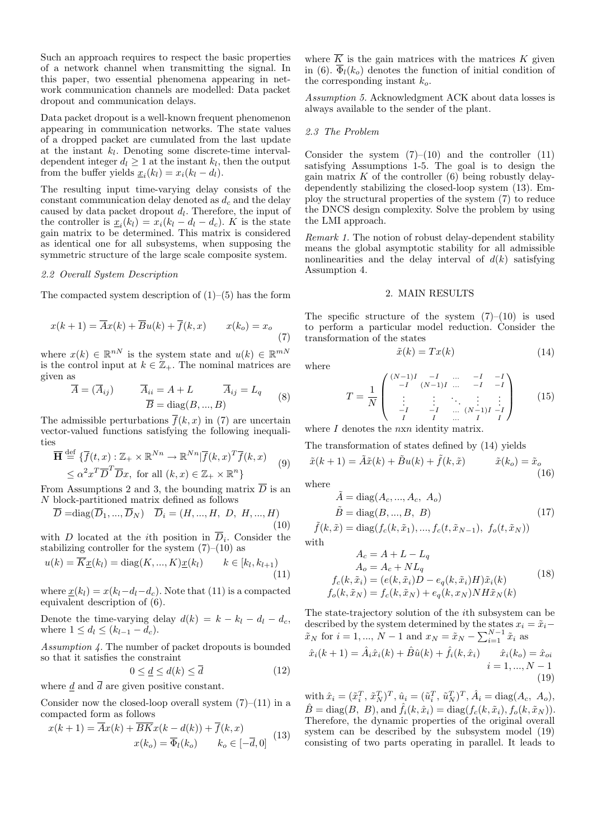Such an approach requires to respect the basic properties of a network channel when transmitting the signal. In this paper, two essential phenomena appearing in network communication channels are modelled: Data packet dropout and communication delays.

Data packet dropout is a well-known frequent phenomenon appearing in communication networks. The state values of a dropped packet are cumulated from the last update at the instant  $k_l$ . Denoting some discrete-time intervaldependent integer  $d_l \geq 1$  at the instant  $k_l$ , then the output from the buffer yields  $\underline{x}_i(k_l) = x_i(k_l - d_l)$ .

The resulting input time-varying delay consists of the constant communication delay denoted as  $d_c$  and the delay caused by data packet dropout  $d_l$ . Therefore, the input of the controller is  $\underline{x}_i(k_l) = x_i(k_l - d_l - d_c)$ . K is the state gain matrix to be determined. This matrix is considered as identical one for all subsystems, when supposing the symmetric structure of the large scale composite system.

#### 2.2 Overall System Description

The compacted system description of  $(1)$ – $(5)$  has the form

$$
x(k+1) = \overline{A}x(k) + \overline{B}u(k) + \overline{f}(k, x) \qquad x(k_o) = x_o \tag{7}
$$

where  $x(k) \in \mathbb{R}^{nN}$  is the system state and  $u(k) \in \mathbb{R}^{mN}$ is the control input at  $k \in \mathbb{Z}_+$ . The nominal matrices are given as

$$
\overline{A} = (\overline{A}_{ij}) \qquad \overline{A}_{ii} = A + L \qquad \overline{A}_{ij} = L_q
$$
  

$$
\overline{B} = \text{diag}(B, ..., B)
$$
 (8)

The admissible perturbations  $\overline{f}(k, x)$  in (7) are uncertain vector-valued functions satisfying the following inequalities

$$
\overline{\mathbf{H}} \stackrel{\text{def}}{=} \{ \overline{f}(t,x) : \mathbb{Z}_+ \times \mathbb{R}^{Nn} \to \mathbb{R}^{Nn} | \overline{f}(k,x)^T \overline{f}(k,x) \} \quad (9)
$$
\n
$$
\leq \alpha^2 x^T \overline{D}^T \overline{D} x, \text{ for all } (k,x) \in \mathbb{Z}_+ \times \mathbb{R}^n \}
$$

From Assumptions 2 and 3, the bounding matrix  $\overline{D}$  is an N block-partitioned matrix defined as follows

$$
\overline{D} = diag(\overline{D}_1, ..., \overline{D}_N) \quad \overline{D}_i = (H, ..., H, D, H, ..., H)
$$
\n(10)

with D located at the *i*th position in  $\overline{D}_i$ . Consider the stabilizing controller for the system  $(7)-(10)$  as

$$
u(k) = \overline{K}_{\underline{x}}(k_l) = \text{diag}(K, ..., K)_{\underline{x}}(k_l) \qquad k \in [k_l, k_{l+1})
$$
\n<sup>(11)</sup>

where  $\underline{x}(k_l) = x(k_l - d_l - d_c)$ . Note that (11) is a compacted equivalent description of (6).

Denote the time-varying delay  $d(k) = k - k_l - d_l - d_c$ , where  $1 \leq d_l \leq (k_{l-1} - d_c)$ .

Assumption 4. The number of packet dropouts is bounded so that it satisfies the constraint

$$
0 \le \underline{d} \le d(k) \le \overline{d} \tag{12}
$$

where d and  $\overline{d}$  are given positive constant.

Consider now the closed-loop overall system  $(7)$ – $(11)$  in a compacted form as follows

$$
x(k+1) = \overline{A}x(k) + \overline{B}Kx(k - d(k)) + \overline{f}(k, x)
$$

$$
x(k_o) = \overline{\Phi}_l(k_o) \qquad k_o \in [-\overline{d}, 0]
$$
(13)

where  $\overline{K}$  is the gain matrices with the matrices K given in (6).  $\overline{\Phi}_l(k_o)$  denotes the function of initial condition of the corresponding instant  $k_o$ .

Assumption 5. Acknowledgment ACK about data losses is always available to the sender of the plant.

#### 2.3 The Problem

Consider the system  $(7)$ – $(10)$  and the controller  $(11)$ satisfying Assumptions 1-5. The goal is to design the gain matrix  $K$  of the controller  $(6)$  being robustly delaydependently stabilizing the closed-loop system (13). Employ the structural properties of the system (7) to reduce the DNCS design complexity. Solve the problem by using the LMI approach.

Remark 1. The notion of robust delay-dependent stability means the global asymptotic stability for all admissible nonlinearities and the delay interval of  $d(k)$  satisfying Assumption 4.

#### 2. MAIN RESULTS

The specific structure of the system  $(7)-(10)$  is used to perform a particular model reduction. Consider the transformation of the states

$$
\tilde{x}(k) = Tx(k) \tag{14}
$$

where

$$
T = \frac{1}{N} \begin{pmatrix} (N-1)I & -I & \dots & -I & -I \\ -I & (N-1)I & \dots & -I & -I \\ \vdots & \vdots & \ddots & \vdots & \vdots \\ -I & -I & \dots & (N-1)I & -I \\ I & I & \dots & I & I \end{pmatrix}
$$
 (15)

where I denotes the  $n \times n$  identity matrix.

The transformation of states defined by (14) yields

$$
\tilde{x}(k+1) = \tilde{A}\tilde{x}(k) + \tilde{B}u(k) + \tilde{f}(k, \tilde{x}) \qquad \tilde{x}(k_o) = \tilde{x}_o \tag{16}
$$

where

$$
\tilde{A} = \text{diag}(A_c, ..., A_c, A_o)
$$
  
\n
$$
\tilde{B} = \text{diag}(B, ..., B, B)
$$
\n(17)

$$
\tilde{f}(k, \tilde{x}) = \text{diag}(f_c(k, \tilde{x}_1), ..., f_c(t, \tilde{x}_{N-1}), f_o(t, \tilde{x}_N))
$$
  
with

$$
A_c = A + L - L_q
$$
  
\n
$$
A_o = A_c + NL_q
$$
  
\n
$$
f_c(k, \tilde{x}_i) = (e(k, \tilde{x}_i)D - e_q(k, \tilde{x}_i)H)\tilde{x}_i(k)
$$
  
\n
$$
f_o(k, \tilde{x}_N) = f_c(k, \tilde{x}_N) + e_q(k, x_N)NH\tilde{x}_N(k)
$$
\n(18)

The state-trajectory solution of the ith subsystem can be described by the system determined by the states  $x_i = \tilde{x}_i$  – described by the system determined by the states  $\ddot{x}_i$ .<br>  $\tilde{x}_N$  for  $i = 1, ..., N - 1$  and  $x_N = \tilde{x}_N - \sum_{i=1}^{N-1} \tilde{x}_i$  as  $\hat{x}_i(k+1) = \hat{A}_i \hat{x}_i(k) + \hat{B}\hat{u}(k) + \hat{f}_i(k, \hat{x}_i) \qquad \hat{x}_i(k_o) = \hat{x}_{oi}$  $i = 1, ..., N - 1$ (19)

with  $\hat{x}_i = (\tilde{x}_i^T, \tilde{x}_N^T)^T, \hat{u}_i = (\tilde{u}_i^T, \tilde{u}_N^T)^T, \hat{A}_i = \text{diag}(A_c, A_o),$  $\hat{B} = \text{diag}(B, B)$ , and  $\hat{f}_i(k, \hat{x}_i) = \text{diag}(f_c(k, \tilde{x}_i), f_o(k, \tilde{x}_N)).$ Therefore, the dynamic properties of the original overall system can be described by the subsystem model (19) consisting of two parts operating in parallel. It leads to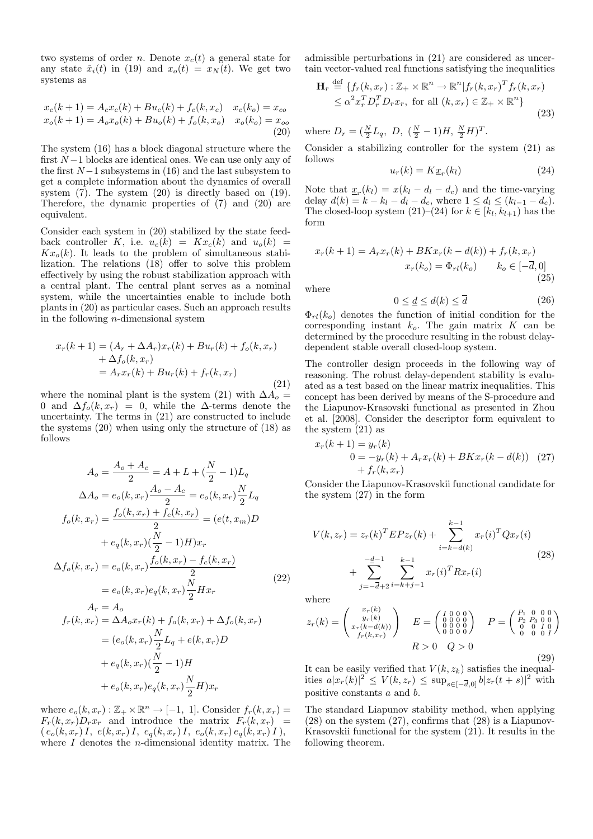two systems of order *n*. Denote  $x_c(t)$  a general state for any state  $\hat{x}_i(t)$  in (19) and  $x_o(t) = x_N(t)$ . We get two systems as

$$
x_c(k+1) = A_c x_c(k) + B u_c(k) + f_c(k, x_c) \quad x_c(k_o) = x_{co}
$$
  
\n
$$
x_o(k+1) = A_o x_o(k) + B u_o(k) + f_o(k, x_o) \quad x_o(k_o) = x_{oo}
$$
  
\n(20)

The system (16) has a block diagonal structure where the first  $N-1$  blocks are identical ones. We can use only any of the first  $N-1$  subsystems in (16) and the last subsystem to get a complete information about the dynamics of overall system (7). The system (20) is directly based on (19). Therefore, the dynamic properties of (7) and (20) are equivalent.

Consider each system in (20) stabilized by the state feedback controller K, i.e.  $u_c(k) = Kx_c(k)$  and  $u_o(k) =$  $Kx<sub>o</sub>(k)$ . It leads to the problem of simultaneous stabilization. The relations (18) offer to solve this problem effectively by using the robust stabilization approach with a central plant. The central plant serves as a nominal system, while the uncertainties enable to include both plants in (20) as particular cases. Such an approach results in the following  $n$ -dimensional system

$$
x_r(k+1) = (A_r + \Delta A_r)x_r(k) + Bu_r(k) + f_o(k, x_r) + \Delta f_o(k, x_r) = A_r x_r(k) + Bu_r(k) + f_r(k, x_r)
$$
\n(21)

where the nominal plant is the system (21) with  $\Delta A_o =$ 0 and  $\Delta f_o(k, x_r) = 0$ , while the  $\Delta$ -terms denote the uncertainty. The terms in (21) are constructed to include the systems (20) when using only the structure of (18) as follows

$$
A_o = \frac{A_o + A_c}{2} = A + L + (\frac{N}{2} - 1)L_q
$$
  
\n
$$
\Delta A_o = e_o(k, x_r) \frac{A_o - A_c}{2} = e_o(k, x_r) \frac{N}{2} L_q
$$
  
\n
$$
f_o(k, x_r) = \frac{f_o(k, x_r) + f_c(k, x_r)}{2} = (e(t, x_m)D
$$
  
\n
$$
+ e_q(k, x_r) (\frac{N}{2} - 1)H) x_r
$$
  
\n
$$
\Delta f_o(k, x_r) = e_o(k, x_r) \frac{f_o(k, x_r) - f_c(k, x_r)}{2}
$$
  
\n
$$
= e_o(k, x_r) e_q(k, x_r) \frac{N}{2} H x_r
$$
\n(22)

$$
A_r = A_o
$$
  
\n
$$
f_r(k, x_r) = \Delta A_o x_r(k) + f_o(k, x_r) + \Delta f_o(k, x_r)
$$
  
\n
$$
= (e_o(k, x_r) \frac{N}{2} L_q + e(k, x_r) D
$$
  
\n
$$
+ e_q(k, x_r) (\frac{N}{2} - 1) H
$$
  
\n
$$
+ e_o(k, x_r) e_q(k, x_r) \frac{N}{2} H) x_r
$$

where  $e_o(k, x_r) : \mathbb{Z}_+ \times \mathbb{R}^n \to [-1, 1]$ . Consider  $f_r(k, x_r) =$  $F_r(k, x_r)D_rx_r$  and introduce the matrix  $F_r(k, x_r)$  =  $(e_o(k, x_r)I, e(k, x_r)I, e_q(k, x_r)I, e_o(k, x_r)e_q(k, x_r)I),$ where  $I$  denotes the *n*-dimensional identity matrix. The admissible perturbations in (21) are considered as uncertain vector-valued real functions satisfying the inequalities

$$
\mathbf{H}_r \stackrel{\text{def}}{=} \{ f_r(k, x_r) : \mathbb{Z}_+ \times \mathbb{R}^n \to \mathbb{R}^n | f_r(k, x_r)^T f_r(k, x_r) \leq \alpha^2 x_r^T D_r^T D_r x_r, \text{ for all } (k, x_r) \in \mathbb{Z}_+ \times \mathbb{R}^n \}
$$
\n(23)

where  $D_r = (\frac{N}{2}L_q, D, (\frac{N}{2} - 1)H, \frac{N}{2}H)^T$ .

Consider a stabilizing controller for the system (21) as follows

$$
u_r(k) = K \underline{x}_r(k_l) \tag{24}
$$

Note that  $\underline{x}_r(k_l) = x(k_l - d_l - d_c)$  and the time-varying delay  $d(k) = k - k_l - d_l - d_c$ , where  $1 \le d_l \le (k_{l-1} - d_c)$ . The closed-loop system  $(21)$ – $(24)$  for  $k \in [k_l, k_{l+1})$  has the form

$$
x_r(k+1) = A_rx_r(k) + BKx_r(k - d(k)) + f_r(k, x_r)
$$
  

$$
x_r(k_o) = \Phi_{rl}(k_o) \qquad k_o \in [-\overline{d}, 0]
$$
  
(25)

where

$$
0 \le \underline{d} \le d(k) \le \overline{d} \tag{26}
$$

 $\Phi_{rl}(k_o)$  denotes the function of initial condition for the corresponding instant  $k_o$ . The gain matrix  $K$  can be determined by the procedure resulting in the robust delaydependent stable overall closed-loop system.

The controller design proceeds in the following way of reasoning. The robust delay-dependent stability is evaluated as a test based on the linear matrix inequalities. This concept has been derived by means of the S-procedure and the Liapunov-Krasovski functional as presented in Zhou et al. [2008]. Consider the descriptor form equivalent to the system (21) as

$$
x_r(k+1) = y_r(k)
$$
  
\n
$$
0 = -y_r(k) + A_rx_r(k) + BKx_r(k - d(k))
$$
 (27)  
\n
$$
+ f_r(k, x_r)
$$

Consider the Liapunov-Krasovskii functional candidate for the system (27) in the form

$$
V(k, z_r) = z_r(k)^T E P z_r(k) + \sum_{i=k-d(k)}^{k-1} x_r(i)^T Q x_r(i)
$$
  
+ 
$$
\sum_{j=-\overline{d}+2}^{-\underline{d}-1} \sum_{i=k+j-1}^{k-1} x_r(i)^T R x_r(i)
$$
 (28)

where

$$
z_r(k) = \begin{pmatrix} x_r(k) \\ y_r(k) \\ x_r(k-d(k)) \\ f_r(k, x_r) \end{pmatrix} \quad E = \begin{pmatrix} I & 0 & 0 & 0 \\ 0 & 0 & 0 & 0 \\ 0 & 0 & 0 & 0 \\ 0 & 0 & 0 & 0 \end{pmatrix} \quad P = \begin{pmatrix} P_1 & 0 & 0 & 0 \\ P_2 & P_3 & 0 & 0 \\ 0 & 0 & I & 0 \\ 0 & 0 & 0 & I \end{pmatrix}
$$

$$
R > 0 \quad Q > 0 \tag{29}
$$

It can be easily verified that  $V(k, z_k)$  satisfies the inequalities  $a|x_r(k)|^2 \le V(k, z_r) \le \sup_{s \in [-\bar{d}, 0]} b|z_r(t+s)|^2$  with positive constants a and b.

The standard Liapunov stability method, when applying  $(28)$  on the system  $(27)$ , confirms that  $(28)$  is a Liapunov-Krasovskii functional for the system (21). It results in the following theorem.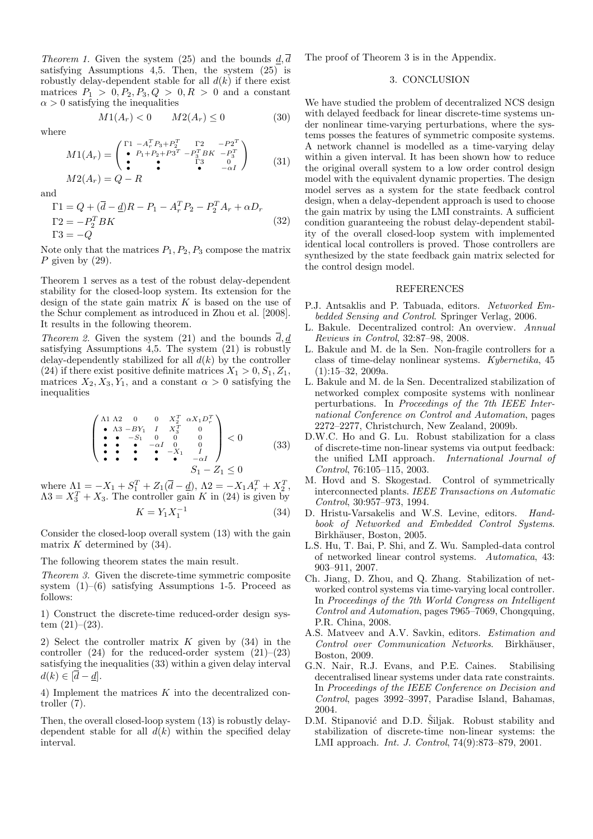*Theorem 1.* Given the system (25) and the bounds  $\underline{d}, \overline{d}$ satisfying Assumptions 4,5. Then, the system (25) is robustly delay-dependent stable for all  $d(k)$  if there exist matrices  $P_1 > 0, P_2, P_3, Q > 0, R > 0$  and a constant  $\alpha > 0$  satisfying the inequalities

$$
M1(A_r) < 0 \qquad M2(A_r) \le 0 \tag{30}
$$

where

$$
M1(A_r) = \begin{pmatrix} \Gamma 1 & -A_r^T P_3 + P_2^T & \Gamma 2 & -P_2^T \\ \bullet & P_1 + P_2 + P_3^T & -P_3^T B K & -P_3^T \\ \bullet & \bullet & \Gamma 3 & 0 \\ \bullet & \bullet & -\alpha I \end{pmatrix}
$$
 (31)  

$$
M2(A_r) = Q - R
$$

and

$$
\Gamma 1 = Q + (\bar{d} - \underline{d})R - P_1 - A_r^T P_2 - P_2^T A_r + \alpha D_r
$$
  
\n
$$
\Gamma 2 = -P_2^T BK
$$
  
\n
$$
\Gamma 3 = -Q
$$
\n(32)

Note only that the matrices  $P_1, P_2, P_3$  compose the matrix P given by  $(29)$ .

Theorem 1 serves as a test of the robust delay-dependent stability for the closed-loop system. Its extension for the design of the state gain matrix  $K$  is based on the use of the Schur complement as introduced in Zhou et al. [2008]. It results in the following theorem.

*Theorem 2.* Given the system (21) and the bounds  $\overline{d}$ , d satisfying Assumptions 4,5. The system (21) is robustly delay-dependently stabilized for all  $d(k)$  by the controller (24) if there exist positive definite matrices  $X_1 > 0, S_1, Z_1$ , matrices  $X_2, X_3, Y_1$ , and a constant  $\alpha > 0$  satisfying the inequalities

$$
\begin{pmatrix}\n\Lambda 1 & \Lambda 2 & 0 & 0 & X_2^T & \alpha X_1 D_r^T \\
\bullet & \Lambda 3 & -BY_1 & I & X_3^T & 0 \\
\bullet & -S_1 & 0 & 0 & 0 \\
\bullet & \bullet & -\alpha I & 0 & 0 \\
\bullet & \bullet & \bullet & -X_1 & I \\
\bullet & \bullet & \bullet & -\alpha I & S_1 - Z_1 \leq 0\n\end{pmatrix} < 0 \tag{33}
$$

where  $\Lambda_{\frac{1}{2}} = -X_1 + S_1^T + Z_1(\overline{d} - \underline{d}), \Lambda_2 = -X_1 A_r^T + X_2^T,$  $\Lambda 3 = X_3^T + X_3$ . The controller gain K in (24) is given by  $K = Y_1 X_1^{-1}$ (34)

Consider the closed-loop overall system (13) with the gain matrix  $K$  determined by  $(34)$ .

The following theorem states the main result.

Theorem 3. Given the discrete-time symmetric composite system  $(1)$ – $(6)$  satisfying Assumptions 1-5. Proceed as follows:

1) Construct the discrete-time reduced-order design system  $(21)–(23)$ .

2) Select the controller matrix  $K$  given by  $(34)$  in the controller  $(24)$  for the reduced-order system  $(21)$ – $(23)$ satisfying the inequalities (33) within a given delay interval  $d(k) \in [\overline{d} - d].$ 

4) Implement the matrices K into the decentralized controller (7).

Then, the overall closed-loop system (13) is robustly delaydependent stable for all  $d(k)$  within the specified delay interval.

The proof of Theorem 3 is in the Appendix.

#### 3. CONCLUSION

We have studied the problem of decentralized NCS design with delayed feedback for linear discrete-time systems under nonlinear time-varying perturbations, where the systems posses the features of symmetric composite systems. A network channel is modelled as a time-varying delay within a given interval. It has been shown how to reduce the original overall system to a low order control design model with the equivalent dynamic properties. The design model serves as a system for the state feedback control design, when a delay-dependent approach is used to choose the gain matrix by using the LMI constraints. A sufficient condition guaranteeing the robust delay-dependent stability of the overall closed-loop system with implemented identical local controllers is proved. Those controllers are synthesized by the state feedback gain matrix selected for the control design model.

## REFERENCES

- P.J. Antsaklis and P. Tabuada, editors. Networked Embedded Sensing and Control. Springer Verlag, 2006.
- L. Bakule. Decentralized control: An overview. Annual Reviews in Control, 32:87–98, 2008.
- L. Bakule and M. de la Sen. Non-fragile controllers for a class of time-delay nonlinear systems. Kybernetika, 45  $(1):15-32, 2009a.$
- L. Bakule and M. de la Sen. Decentralized stabilization of networked complex composite systems with nonlinear perturbations. In Proceedings of the 7th IEEE International Conference on Control and Automation, pages 2272–2277, Christchurch, New Zealand, 2009b.
- D.W.C. Ho and G. Lu. Robust stabilization for a class of discrete-time non-linear systems via output feedback: the unified LMI approach. International Journal of Control, 76:105–115, 2003.
- M. Hovd and S. Skogestad. Control of symmetrically interconnected plants. IEEE Transactions on Automatic Control, 30:957–973, 1994.
- D. Hristu-Varsakelis and W.S. Levine, editors. Handbook of Networked and Embedded Control Systems. Birkhäuser, Boston, 2005.
- L.S. Hu, T. Bai, P. Shi, and Z. Wu. Sampled-data control of networked linear control systems. Automatica, 43: 903–911, 2007.
- Ch. Jiang, D. Zhou, and Q. Zhang. Stabilization of networked control systems via time-varying local controller. In Proceedings of the 7th World Congress on Intelligent Control and Automation, pages 7965–7069, Chongquing, P.R. China, 2008.
- A.S. Matveev and A.V. Savkin, editors. Estimation and Control over Communication Networks. Birkhäuser, Boston, 2009.
- G.N. Nair, R.J. Evans, and P.E. Caines. Stabilising decentralised linear systems under data rate constraints. In Proceedings of the IEEE Conference on Decision and Control, pages 3992–3997, Paradise Island, Bahamas, 2004.
- D.M. Stipanović and D.D. Šiljak. Robust stability and stabilization of discrete-time non-linear systems: the LMI approach. Int. J. Control, 74(9):873–879, 2001.